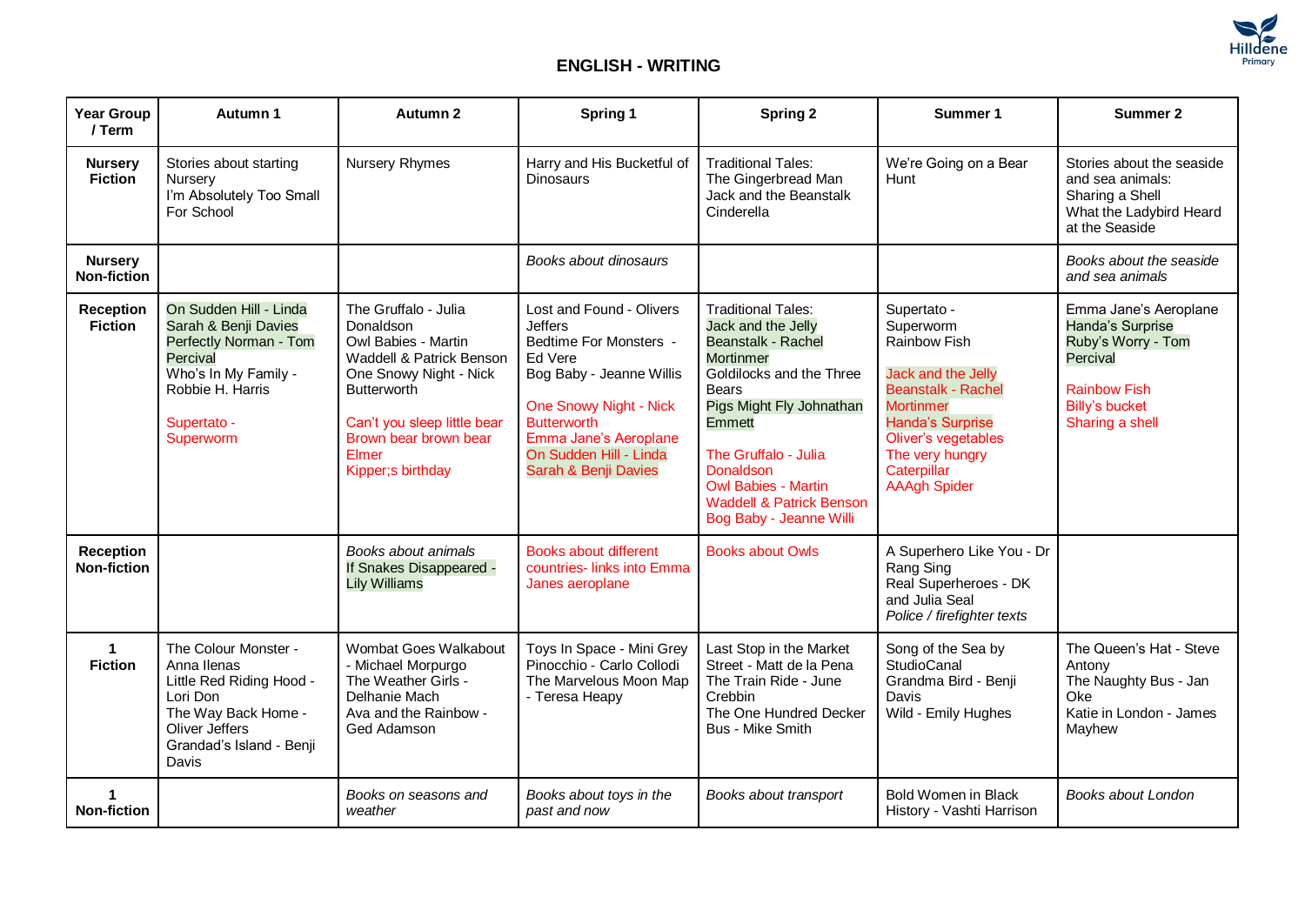

## **ENGLISH - WRITING**

| <b>Year Group</b><br>/ Term            | Autumn 1                                                                                                                                                     | Autumn 2                                                                                                                                                                                                                    | Spring 1                                                                                                                                                                                                                                      | <b>Spring 2</b>                                                                                                                                                                                                                                                                                                         | Summer 1                                                                                                                                                                                                                   | Summer 2                                                                                                                                       |
|----------------------------------------|--------------------------------------------------------------------------------------------------------------------------------------------------------------|-----------------------------------------------------------------------------------------------------------------------------------------------------------------------------------------------------------------------------|-----------------------------------------------------------------------------------------------------------------------------------------------------------------------------------------------------------------------------------------------|-------------------------------------------------------------------------------------------------------------------------------------------------------------------------------------------------------------------------------------------------------------------------------------------------------------------------|----------------------------------------------------------------------------------------------------------------------------------------------------------------------------------------------------------------------------|------------------------------------------------------------------------------------------------------------------------------------------------|
| <b>Nursery</b><br><b>Fiction</b>       | Stories about starting<br>Nursery<br>I'm Absolutely Too Small<br>For School                                                                                  | <b>Nursery Rhymes</b>                                                                                                                                                                                                       | Harry and His Bucketful of<br><b>Dinosaurs</b>                                                                                                                                                                                                | <b>Traditional Tales:</b><br>The Gingerbread Man<br>Jack and the Beanstalk<br>Cinderella                                                                                                                                                                                                                                | We're Going on a Bear<br>Hunt                                                                                                                                                                                              | Stories about the seaside<br>and sea animals:<br>Sharing a Shell<br>What the Ladybird Heard<br>at the Seaside                                  |
| <b>Nursery</b><br><b>Non-fiction</b>   |                                                                                                                                                              |                                                                                                                                                                                                                             | Books about dinosaurs                                                                                                                                                                                                                         |                                                                                                                                                                                                                                                                                                                         |                                                                                                                                                                                                                            | Books about the seaside<br>and sea animals                                                                                                     |
| <b>Reception</b><br><b>Fiction</b>     | On Sudden Hill - Linda<br>Sarah & Benji Davies<br>Perfectly Norman - Tom<br>Percival<br>Who's In My Family -<br>Robbie H. Harris<br>Supertato -<br>Superworm | The Gruffalo - Julia<br>Donaldson<br>Owl Babies - Martin<br>Waddell & Patrick Benson<br>One Snowy Night - Nick<br><b>Butterworth</b><br>Can't you sleep little bear<br>Brown bear brown bear<br>Elmer<br>Kipper; s birthday | Lost and Found - Olivers<br><b>Jeffers</b><br>Bedtime For Monsters -<br>Ed Vere<br>Bog Baby - Jeanne Willis<br><b>One Snowy Night - Nick</b><br><b>Butterworth</b><br>Emma Jane's Aeroplane<br>On Sudden Hill - Linda<br>Sarah & Benji Davies | <b>Traditional Tales:</b><br>Jack and the Jelly<br><b>Beanstalk - Rachel</b><br><b>Mortinmer</b><br>Goldilocks and the Three<br><b>Bears</b><br>Pigs Might Fly Johnathan<br>Emmett<br>The Gruffalo - Julia<br>Donaldson<br><b>Owl Babies - Martin</b><br><b>Waddell &amp; Patrick Benson</b><br>Bog Baby - Jeanne Willi | Supertato -<br>Superworm<br><b>Rainbow Fish</b><br>Jack and the Jelly<br>Beanstalk - Rachel<br><b>Mortinmer</b><br><b>Handa's Surprise</b><br>Oliver's vegetables<br>The very hungry<br>Caterpillar<br><b>AAAgh Spider</b> | Emma Jane's Aeroplane<br>Handa's Surprise<br>Ruby's Worry - Tom<br>Percival<br><b>Rainbow Fish</b><br><b>Billy's bucket</b><br>Sharing a shell |
| <b>Reception</b><br><b>Non-fiction</b> |                                                                                                                                                              | Books about animals<br>If Snakes Disappeared -<br><b>Lily Williams</b>                                                                                                                                                      | Books about different<br>countries-links into Emma<br>Janes aeroplane                                                                                                                                                                         | <b>Books about Owls</b>                                                                                                                                                                                                                                                                                                 | A Superhero Like You - Dr<br>Rang Sing<br>Real Superheroes - DK<br>and Julia Seal<br>Police / firefighter texts                                                                                                            |                                                                                                                                                |
| $\blacktriangleleft$<br><b>Fiction</b> | The Colour Monster -<br>Anna Ilenas<br>Little Red Riding Hood -<br>Lori Don<br>The Way Back Home -<br>Oliver Jeffers<br>Grandad's Island - Benji<br>Davis    | Wombat Goes Walkabout<br>- Michael Morpurgo<br>The Weather Girls -<br>Delhanie Mach<br>Ava and the Rainbow -<br>Ged Adamson                                                                                                 | Toys In Space - Mini Grey<br>Pinocchio - Carlo Collodi<br>The Marvelous Moon Map<br>- Teresa Heapy                                                                                                                                            | Last Stop in the Market<br>Street - Matt de la Pena<br>The Train Ride - June<br>Crebbin<br>The One Hundred Decker<br><b>Bus - Mike Smith</b>                                                                                                                                                                            | Song of the Sea by<br><b>StudioCanal</b><br>Grandma Bird - Benji<br>Davis<br>Wild - Emily Hughes                                                                                                                           | The Queen's Hat - Steve<br>Antony<br>The Naughty Bus - Jan<br>Oke.<br>Katie in London - James<br>Mayhew                                        |
| <b>Non-fiction</b>                     |                                                                                                                                                              | Books on seasons and<br>weather                                                                                                                                                                                             | Books about toys in the<br>past and now                                                                                                                                                                                                       | Books about transport                                                                                                                                                                                                                                                                                                   | Bold Women in Black<br>History - Vashti Harrison                                                                                                                                                                           | Books about London                                                                                                                             |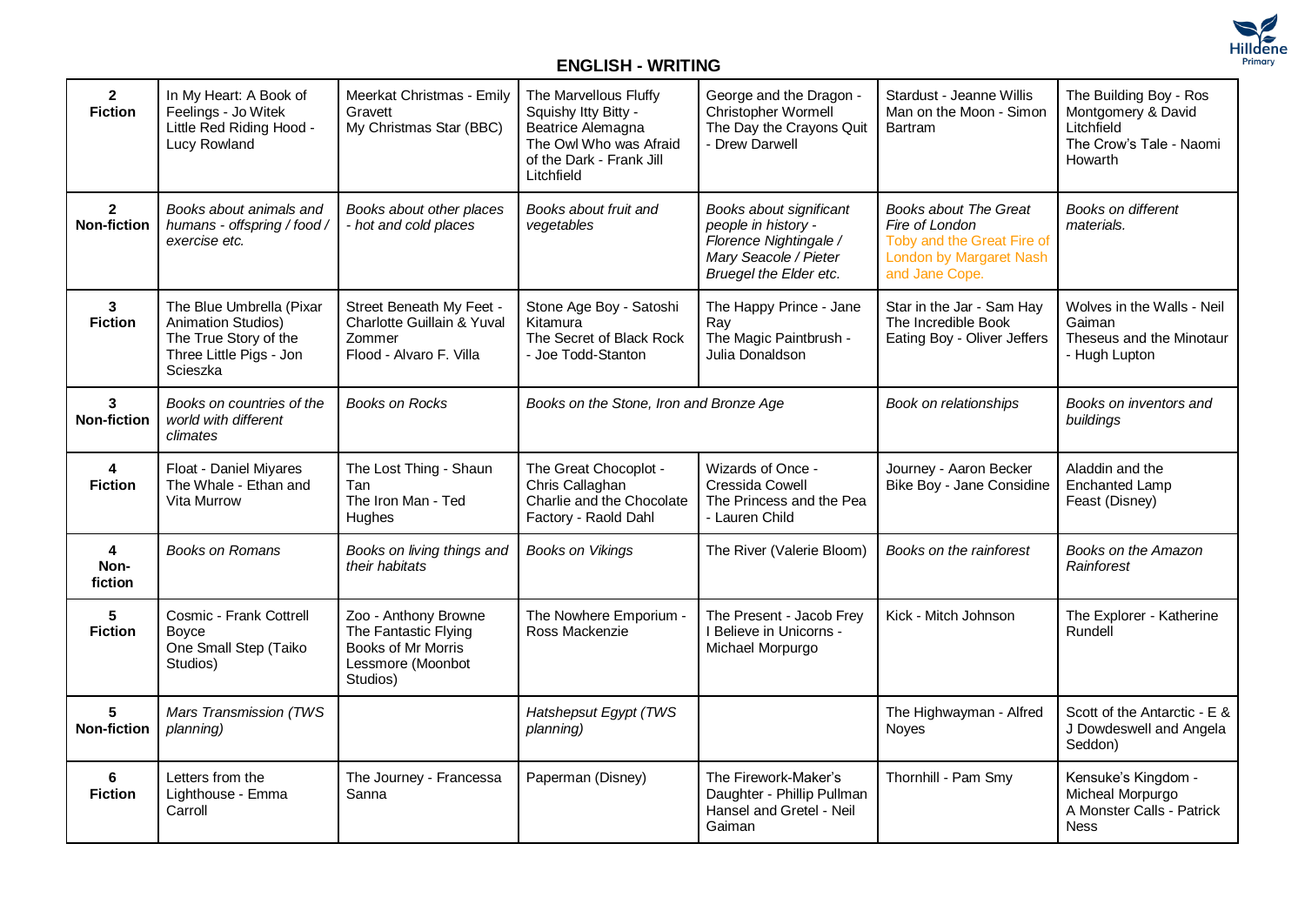

## **ENGLISH - WRITING**

| $\overline{2}$<br><b>Fiction</b>           | In My Heart: A Book of<br>Feelings - Jo Witek<br>Little Red Riding Hood -<br>Lucy Rowland                             | Meerkat Christmas - Emily<br>Gravett<br>My Christmas Star (BBC)                                            | The Marvellous Fluffy<br>Squishy Itty Bitty -<br>Beatrice Alemagna<br>The Owl Who was Afraid<br>of the Dark - Frank Jill<br>Litchfield | George and the Dragon -<br>Christopher Wormell<br>The Day the Crayons Quit<br>- Drew Darwell                                | Stardust - Jeanne Willis<br>Man on the Moon - Simon<br><b>Bartram</b>                                                            | The Building Boy - Ros<br>Montgomery & David<br>Litchfield<br>The Crow's Tale - Naomi<br>Howarth |
|--------------------------------------------|-----------------------------------------------------------------------------------------------------------------------|------------------------------------------------------------------------------------------------------------|----------------------------------------------------------------------------------------------------------------------------------------|-----------------------------------------------------------------------------------------------------------------------------|----------------------------------------------------------------------------------------------------------------------------------|--------------------------------------------------------------------------------------------------|
| $\overline{2}$<br><b>Non-fiction</b>       | Books about animals and<br>humans - offspring / food /<br>exercise etc.                                               | Books about other places<br>- hot and cold places                                                          | Books about fruit and<br>vegetables                                                                                                    | Books about significant<br>people in history -<br>Florence Nightingale /<br>Mary Seacole / Pieter<br>Bruegel the Elder etc. | <b>Books about The Great</b><br>Fire of London<br>Toby and the Great Fire of<br><b>London by Margaret Nash</b><br>and Jane Cope. | <b>Books on different</b><br>materials.                                                          |
| $\mathbf{3}$<br><b>Fiction</b>             | The Blue Umbrella (Pixar<br><b>Animation Studios)</b><br>The True Story of the<br>Three Little Pigs - Jon<br>Scieszka | Street Beneath My Feet -<br>Charlotte Guillain & Yuval<br>Zommer<br>Flood - Alvaro F. Villa                | Stone Age Boy - Satoshi<br>Kitamura<br>The Secret of Black Rock<br>- Joe Todd-Stanton                                                  | The Happy Prince - Jane<br>Ray<br>The Magic Paintbrush -<br>Julia Donaldson                                                 | Star in the Jar - Sam Hay<br>The Incredible Book<br>Eating Boy - Oliver Jeffers                                                  | Wolves in the Walls - Neil<br>Gaiman<br>Theseus and the Minotaur<br>- Hugh Lupton                |
| $\mathbf{3}$<br><b>Non-fiction</b>         | Books on countries of the<br>world with different<br>climates                                                         | <b>Books on Rocks</b>                                                                                      | Books on the Stone, Iron and Bronze Age                                                                                                |                                                                                                                             | Book on relationships                                                                                                            | Books on inventors and<br>buildings                                                              |
| 4<br><b>Fiction</b>                        | Float - Daniel Miyares<br>The Whale - Ethan and<br><b>Vita Murrow</b>                                                 | The Lost Thing - Shaun<br>Tan<br>The Iron Man - Ted<br><b>Hughes</b>                                       | The Great Chocoplot -<br>Chris Callaghan<br>Charlie and the Chocolate<br>Factory - Raold Dahl                                          | Wizards of Once -<br>Cressida Cowell<br>The Princess and the Pea<br>- Lauren Child                                          | Journey - Aaron Becker<br>Bike Boy - Jane Considine                                                                              | Aladdin and the<br><b>Enchanted Lamp</b><br>Feast (Disney)                                       |
| $\overline{\mathbf{4}}$<br>Non-<br>fiction | <b>Books on Romans</b>                                                                                                | Books on living things and<br>their habitats                                                               | <b>Books on Vikings</b>                                                                                                                | The River (Valerie Bloom)                                                                                                   | Books on the rainforest                                                                                                          | Books on the Amazon<br>Rainforest                                                                |
| 5<br><b>Fiction</b>                        | Cosmic - Frank Cottrell<br><b>Boyce</b><br>One Small Step (Taiko<br>Studios)                                          | Zoo - Anthony Browne<br>The Fantastic Flying<br><b>Books of Mr Morris</b><br>Lessmore (Moonbot<br>Studios) | The Nowhere Emporium -<br>Ross Mackenzie                                                                                               | The Present - Jacob Frey<br>I Believe in Unicorns -<br>Michael Morpurgo                                                     | Kick - Mitch Johnson                                                                                                             | The Explorer - Katherine<br>Rundell                                                              |
| 5<br><b>Non-fiction</b>                    | Mars Transmission (TWS<br>planning)                                                                                   |                                                                                                            | Hatshepsut Egypt (TWS<br>planning)                                                                                                     |                                                                                                                             | The Highwayman - Alfred<br><b>Noves</b>                                                                                          | Scott of the Antarctic - E &<br>J Dowdeswell and Angela<br>Seddon)                               |
| 6<br><b>Fiction</b>                        | Letters from the<br>Lighthouse - Emma<br>Carroll                                                                      | The Journey - Francessa<br>Sanna                                                                           | Paperman (Disney)                                                                                                                      | The Firework-Maker's<br>Daughter - Phillip Pullman<br>Hansel and Gretel - Neil<br>Gaiman                                    | Thornhill - Pam Smy                                                                                                              | Kensuke's Kingdom -<br>Micheal Morpurgo<br>A Monster Calls - Patrick<br><b>Ness</b>              |